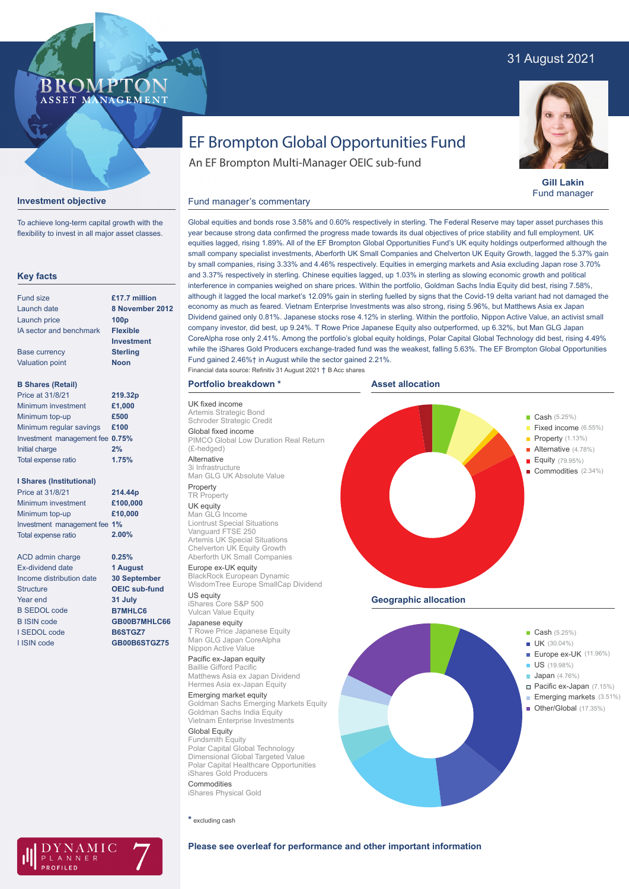# 31 August 2021



**Gill Lakin** Fund manager

# EF Brompton Global Opportunities Fund

Global equities and bonds rose 3.58% and 0.60% respectively in sterling. The Federal Reserve may taper asset purchases this year because strong data confirmed the progress made towards its dual objectives of price stability and full employment. UK equities lagged, rising 1.89%. All of the EF Brompton Global Opportunities Fund's UK equity holdings outperformed although the small company specialist investments, Aberforth UK Small Companies and Chelverton UK Equity Growth, lagged the 5.37% gain by small companies, rising 3.33% and 4.46% respectively. Equities in emerging markets and Asia excluding Japan rose 3.70% and 3.37% respectively in sterling. Chinese equities lagged, up 1.03% in sterling as slowing economic growth and political interference in companies weighed on share prices. Within the portfolio, Goldman Sachs India Equity did best, rising 7.58%, although it lagged the local market's 12.09% gain in sterling fuelled by signs that the Covid-19 delta variant had not damaged the economy as much as feared. Vietnam Enterprise Investments was also strong, rising 5.96%, but Matthews Asia ex Japan Dividend gained only 0.81%. Japanese stocks rose 4.12% in sterling. Within the portfolio, Nippon Active Value, an activist small company investor, did best, up 9.24%. T Rowe Price Japanese Equity also outperformed, up 6.32%, but Man GLG Japan CoreAlpha rose only 2.41%. Among the portfolio's global equity holdings, Polar Capital Global Technology did best, rising 4.49% while the iShares Gold Producers exchange-traded fund was the weakest, falling 5.63%. The EF Brompton Global Opportunities

An EF Brompton Multi-Manager OEIC sub-fund

# Fund manager's commentary

To achieve long-term capital growth with the flexibility to invest in all major asset classes.

BROMP

ASSET MANAGEMENT

**Investment objective**

# **Key facts**

| <b>Fund size</b>                | £17.7 million    |
|---------------------------------|------------------|
| Launch date                     | 8 November:      |
| Launch price                    | 100 <sub>p</sub> |
| IA sector and benchmark         | <b>Flexible</b>  |
|                                 | Investment       |
| <b>Base currency</b>            | <b>Sterling</b>  |
| <b>Valuation point</b>          | <b>Noon</b>      |
| <b>B Shares (Retail)</b>        |                  |
| Price at 31/8/21                | 219.32p          |
| Minimum investment              | £1,000           |
| Minimum top-up                  | £500             |
| Minimum regular savings         | £100             |
| Investment management fee 0.75% |                  |
| Initial charge                  | 2%               |
| <b>Total expense ratio</b>      | 1.75%            |
|                                 |                  |

# **I Shares (Institutional)**

| Price at 31/8/21             | 214.44p  |
|------------------------------|----------|
| Minimum investment           | £100,000 |
| Minimum top-up               | £10,000  |
| Investment management fee 1% |          |
| <b>Total expense ratio</b>   | 2.00%    |
|                              |          |

ACD admin charge Ex-dividend date Income distribution date **Structure** Year end B SEDOL code B ISIN code I SEDOL code I ISIN code

# **8 November 2012**

**0.25% 1 August 30 September OEIC sub-fund 31 July B7MHLC6 GB00B7MHLC66 B6STGZ7 GB00B6STGZ75**

AMIC NNER

Artemis Strategic Bond Schroder Strategic Credit Global fixed income PIMCO Global Low Duration Real Return (£-hedged)

Fund gained 2.46%† in August while the sector gained 2.21%.

Financial data source: Refinitiv 31 August 2021 † B Acc shares

Alternative 3i Infrastructure Man GLG UK Absolute Value

**Portfolio breakdown \***

### Property **TR Property**

UK fixed income

UK equity Man GLG Income Liontrust Special Situations Vanguard FTSE 250 Artemis UK Special Situations Chelverton UK Equity Growth Aberforth UK Small Companies

Europe ex-UK equity BlackRock European Dynamic WisdomTree Europe SmallCap Dividend US equity

iShares Core S&P 500 Vulcan Value Equity

Japanese equity T Rowe Price Japanese Equity Man GLG Japan CoreAlpha Nippon Active Value

Pacific ex-Japan equity Baillie Gifford Pacific Matthews Asia ex Japan Dividend Hermes Asia ex-Japan Equity

Emerging market equity Goldman Sachs Emerging Markets Equity Goldman Sachs India Equity Vietnam Enterprise Investments

Global Equity Fundsmith Equity Polar Capital Global Technology Dimensional Global Targeted Value Polar Capital Healthcare Opportunities iShares Gold Producers Commodities

iShares Physical Gold

**\*** excluding cash



**Geographic allocation**



**Please see overleaf for performance and other important information**